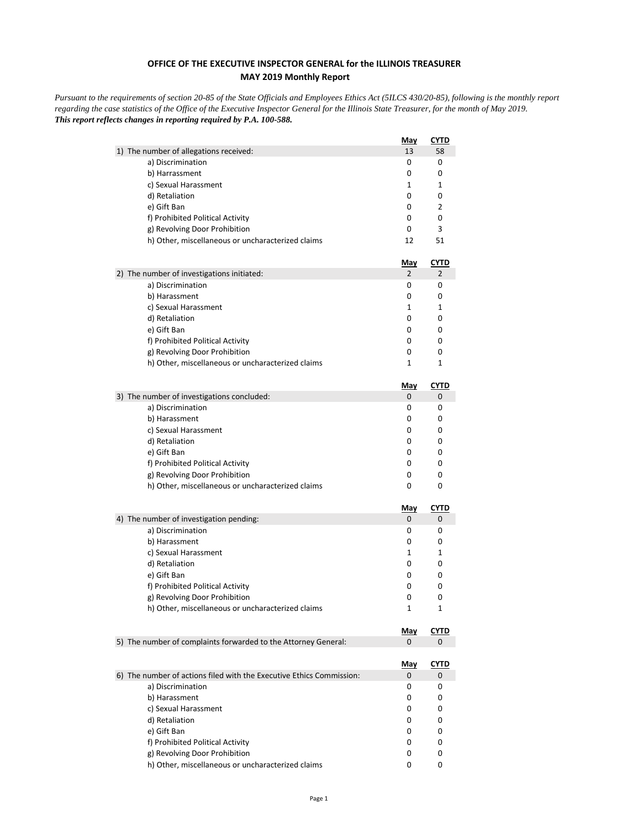## **OFFICE OF THE EXECUTIVE INSPECTOR GENERAL for the ILLINOIS TREASURER MAY 2019 Monthly Report**

*Pursuant to the requirements of section 20-85 of the State Officials and Employees Ethics Act (5ILCS 430/20-85), following is the monthly report regarding the case statistics of the Office of the Executive Inspector General for the Illinois State Treasurer, for the month of May 2019. This report reflects changes in reporting required by P.A. 100-588.*

|                                                                      | <b>May</b>      | CYTD             |
|----------------------------------------------------------------------|-----------------|------------------|
| 1) The number of allegations received:                               | 13              | 58               |
| a) Discrimination                                                    | 0               | 0                |
| b) Harrassment                                                       | 0               | 0                |
| c) Sexual Harassment                                                 | 1               | 1                |
| d) Retaliation                                                       | 0               | 0                |
| e) Gift Ban                                                          | 0               | 2                |
| f) Prohibited Political Activity                                     | 0               | 0                |
| g) Revolving Door Prohibition                                        | 0               | 3                |
| h) Other, miscellaneous or uncharacterized claims                    | 12              | 51               |
|                                                                      | <b>May</b>      | <u>CYTD</u>      |
| 2) The number of investigations initiated:                           | 2               | 2                |
| a) Discrimination                                                    | 0               | 0                |
| b) Harassment                                                        | 0               | 0                |
| c) Sexual Harassment                                                 | 1               | 1                |
| d) Retaliation                                                       | 0<br>0          | 0<br>0           |
| e) Gift Ban<br>f) Prohibited Political Activity                      | 0               | 0                |
| g) Revolving Door Prohibition                                        | 0               | 0                |
| h) Other, miscellaneous or uncharacterized claims                    | 1               | 1                |
|                                                                      |                 |                  |
|                                                                      | <u>May</u>      | CYTD             |
| 3) The number of investigations concluded:                           | 0               | 0                |
| a) Discrimination                                                    | 0               | 0                |
| b) Harassment                                                        | 0               | 0                |
| c) Sexual Harassment                                                 | 0               | 0                |
| d) Retaliation<br>e) Gift Ban                                        | 0<br>0          | 0<br>0           |
| f) Prohibited Political Activity                                     | 0               | 0                |
| g) Revolving Door Prohibition                                        | 0               | 0                |
| h) Other, miscellaneous or uncharacterized claims                    | 0               | 0                |
|                                                                      |                 |                  |
| 4) The number of investigation pending:                              | <u>May</u><br>0 | <b>CYTD</b><br>0 |
| a) Discrimination                                                    | 0               | 0                |
| b) Harassment                                                        | 0               | 0                |
| c) Sexual Harassment                                                 | 1               | 1                |
| d) Retaliation                                                       | 0               | 0                |
| e) Gift Ban                                                          | 0               | 0                |
| f) Prohibited Political Activity                                     | 0               | 0                |
| g) Revolving Door Prohibition                                        | 0               | 0                |
| h) Other, miscellaneous or uncharacterized claims                    | 1               | 1                |
|                                                                      | <u>May</u>      | CYTD             |
| 5) The number of complaints forwarded to the Attorney General:       | 0               | 0                |
|                                                                      |                 |                  |
| 6) The number of actions filed with the Executive Ethics Commission: | <u>May</u><br>0 | <u>CYTD</u><br>0 |
| a) Discrimination                                                    | 0               | 0                |
| b) Harassment                                                        | 0               | 0                |
| c) Sexual Harassment                                                 | 0               | 0                |
| d) Retaliation                                                       | 0               | 0                |
| e) Gift Ban                                                          | 0               | 0                |
| f) Prohibited Political Activity                                     | 0               | 0                |
| g) Revolving Door Prohibition                                        | 0               | 0                |
| h) Other, miscellaneous or uncharacterized claims                    | 0               | 0                |